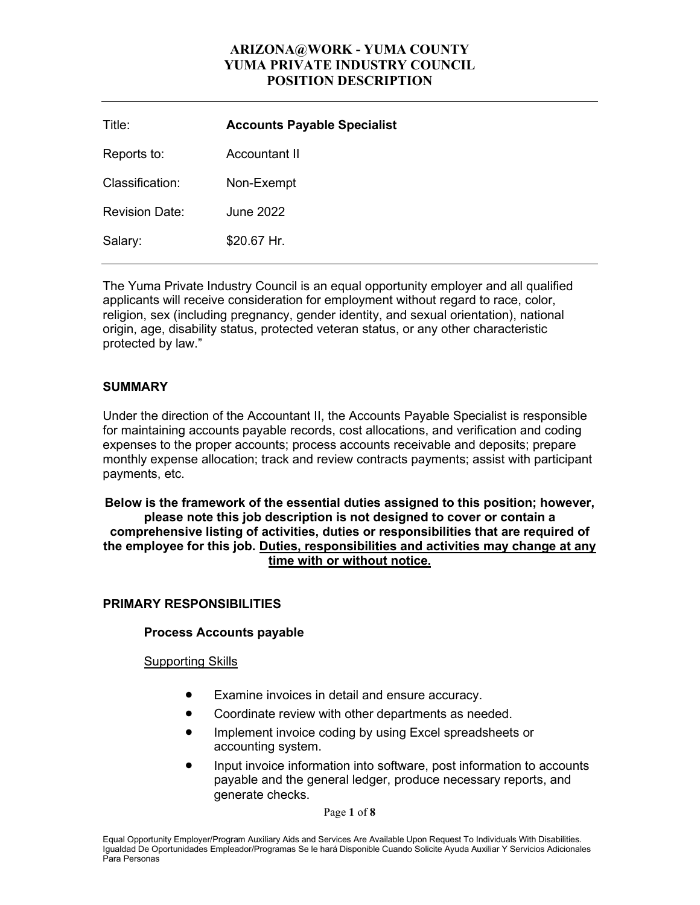| Title:                | <b>Accounts Payable Specialist</b> |
|-----------------------|------------------------------------|
| Reports to:           | Accountant II                      |
| Classification:       | Non-Exempt                         |
| <b>Revision Date:</b> | <b>June 2022</b>                   |
| Salary:               | \$20.67 Hr.                        |

The Yuma Private Industry Council is an equal opportunity employer and all qualified applicants will receive consideration for employment without regard to race, color, religion, sex (including pregnancy, gender identity, and sexual orientation), national origin, age, disability status, protected veteran status, or any other characteristic protected by law."

# **SUMMARY**

Under the direction of the Accountant II, the Accounts Payable Specialist is responsible for maintaining accounts payable records, cost allocations, and verification and coding expenses to the proper accounts; process accounts receivable and deposits; prepare monthly expense allocation; track and review contracts payments; assist with participant payments, etc.

#### **Below is the framework of the essential duties assigned to this position; however, please note this job description is not designed to cover or contain a comprehensive listing of activities, duties or responsibilities that are required of the employee for this job. Duties, responsibilities and activities may change at any time with or without notice.**

# **PRIMARY RESPONSIBILITIES**

## **Process Accounts payable**

## Supporting Skills

- Examine invoices in detail and ensure accuracy.
- Coordinate review with other departments as needed.
- Implement invoice coding by using Excel spreadsheets or accounting system.
- Input invoice information into software, post information to accounts payable and the general ledger, produce necessary reports, and generate checks.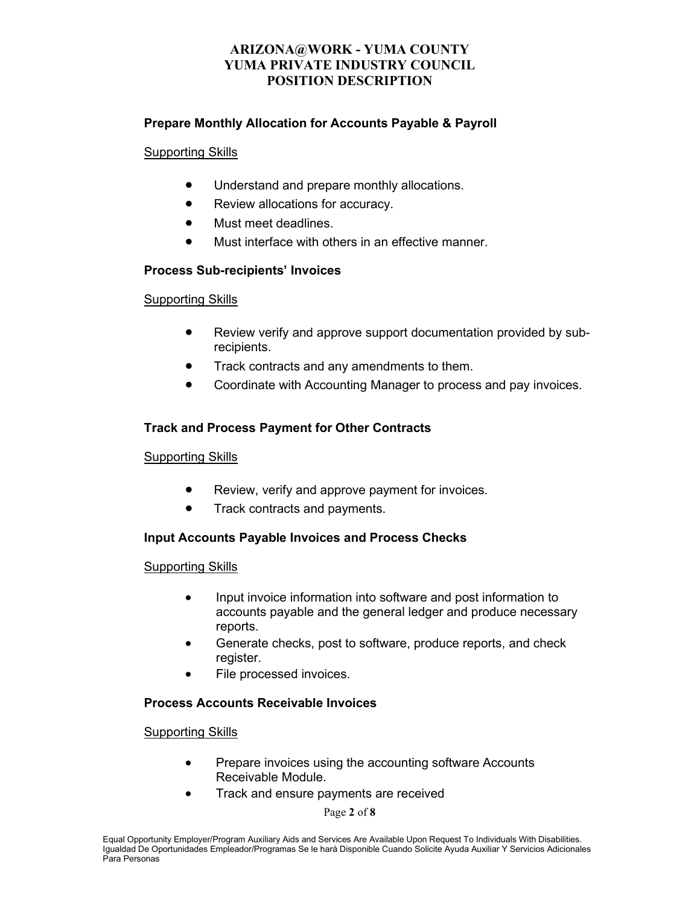## **Prepare Monthly Allocation for Accounts Payable & Payroll**

#### Supporting Skills

- Understand and prepare monthly allocations.
- Review allocations for accuracy.
- Must meet deadlines.
- Must interface with others in an effective manner

## **Process Sub-recipients' Invoices**

#### Supporting Skills

- Review verify and approve support documentation provided by subrecipients.
- Track contracts and any amendments to them.
- Coordinate with Accounting Manager to process and pay invoices.

## **Track and Process Payment for Other Contracts**

## Supporting Skills

- Review, verify and approve payment for invoices.
- Track contracts and payments.

## **Input Accounts Payable Invoices and Process Checks**

## Supporting Skills

- Input invoice information into software and post information to accounts payable and the general ledger and produce necessary reports.
- Generate checks, post to software, produce reports, and check register.
- File processed invoices.

## **Process Accounts Receivable Invoices**

## Supporting Skills

- Prepare invoices using the accounting software Accounts Receivable Module.
- Track and ensure payments are received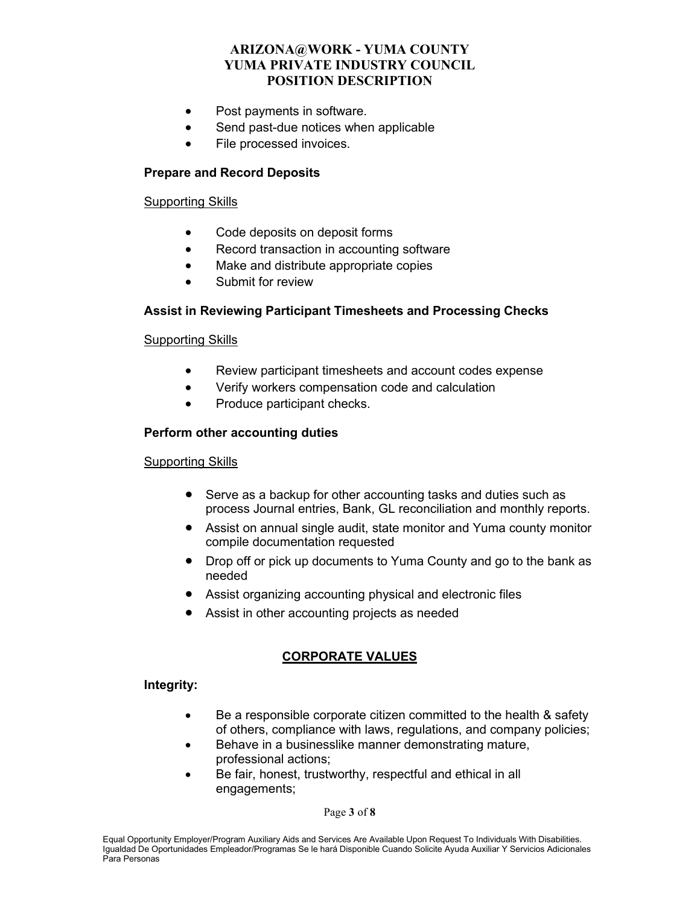- Post payments in software.
- Send past-due notices when applicable
- File processed invoices.

## **Prepare and Record Deposits**

#### Supporting Skills

- Code deposits on deposit forms
- Record transaction in accounting software
- Make and distribute appropriate copies
- Submit for review

## **Assist in Reviewing Participant Timesheets and Processing Checks**

#### Supporting Skills

- Review participant timesheets and account codes expense
- Verify workers compensation code and calculation
- Produce participant checks.

#### **Perform other accounting duties**

#### Supporting Skills

- Serve as a backup for other accounting tasks and duties such as process Journal entries, Bank, GL reconciliation and monthly reports.
- Assist on annual single audit, state monitor and Yuma county monitor compile documentation requested
- Drop off or pick up documents to Yuma County and go to the bank as needed
- Assist organizing accounting physical and electronic files
- Assist in other accounting projects as needed

## **CORPORATE VALUES**

#### **Integrity:**

- Be a responsible corporate citizen committed to the health & safety of others, compliance with laws, regulations, and company policies;
- Behave in a businesslike manner demonstrating mature, professional actions;
- Be fair, honest, trustworthy, respectful and ethical in all engagements;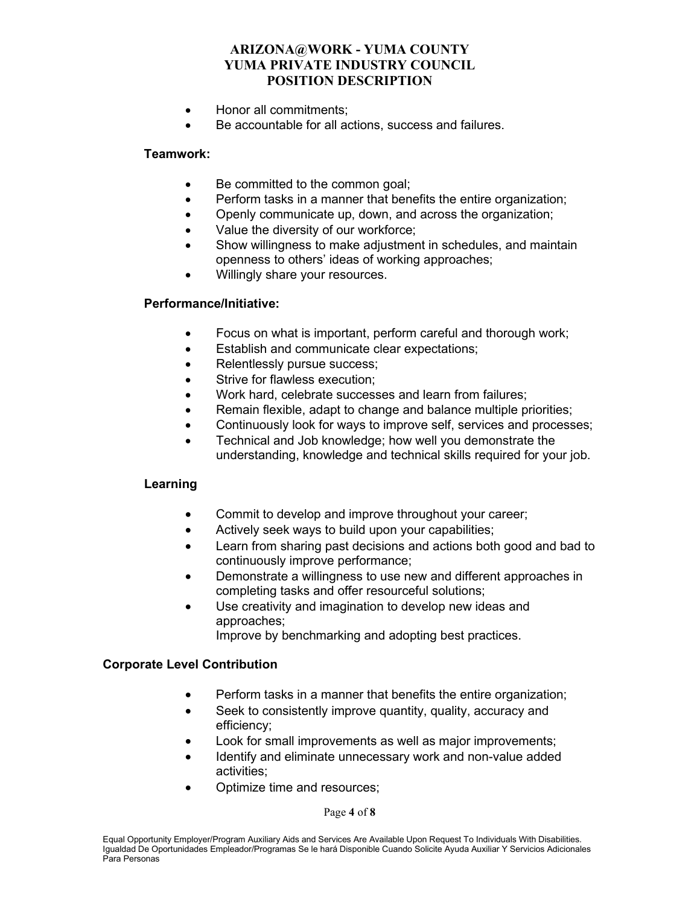- Honor all commitments;
- Be accountable for all actions, success and failures.

#### **Teamwork:**

- Be committed to the common goal;
- Perform tasks in a manner that benefits the entire organization;
- Openly communicate up, down, and across the organization;
- Value the diversity of our workforce;
- Show willingness to make adjustment in schedules, and maintain openness to others' ideas of working approaches;
- Willingly share your resources.

#### **Performance/Initiative:**

- Focus on what is important, perform careful and thorough work;
- Establish and communicate clear expectations;
- Relentlessly pursue success;
- Strive for flawless execution:
- Work hard, celebrate successes and learn from failures;
- Remain flexible, adapt to change and balance multiple priorities;
- Continuously look for ways to improve self, services and processes;
- Technical and Job knowledge; how well you demonstrate the understanding, knowledge and technical skills required for your job.

## **Learning**

- Commit to develop and improve throughout your career;
- Actively seek ways to build upon your capabilities;
- Learn from sharing past decisions and actions both good and bad to continuously improve performance;
- Demonstrate a willingness to use new and different approaches in completing tasks and offer resourceful solutions;
- Use creativity and imagination to develop new ideas and approaches; Improve by benchmarking and adopting best practices.

#### **Corporate Level Contribution**

- Perform tasks in a manner that benefits the entire organization;
- Seek to consistently improve quantity, quality, accuracy and efficiency;
- Look for small improvements as well as major improvements;
- Identify and eliminate unnecessary work and non-value added activities;
- Optimize time and resources;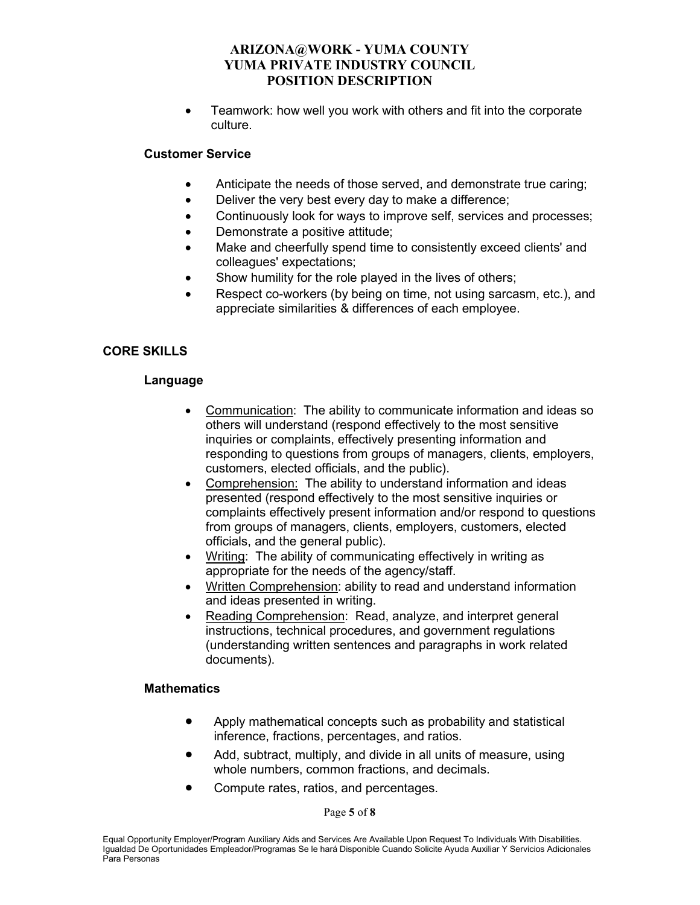• Teamwork: how well you work with others and fit into the corporate culture.

## **Customer Service**

- Anticipate the needs of those served, and demonstrate true caring;
- Deliver the very best every day to make a difference;
- Continuously look for ways to improve self, services and processes;
- Demonstrate a positive attitude;
- Make and cheerfully spend time to consistently exceed clients' and colleagues' expectations;
- Show humility for the role played in the lives of others;
- Respect co-workers (by being on time, not using sarcasm, etc.), and appreciate similarities & differences of each employee.

# **CORE SKILLS**

## **Language**

- Communication: The ability to communicate information and ideas so others will understand (respond effectively to the most sensitive inquiries or complaints, effectively presenting information and responding to questions from groups of managers, clients, employers, customers, elected officials, and the public).
- Comprehension: The ability to understand information and ideas presented (respond effectively to the most sensitive inquiries or complaints effectively present information and/or respond to questions from groups of managers, clients, employers, customers, elected officials, and the general public).
- Writing: The ability of communicating effectively in writing as appropriate for the needs of the agency/staff.
- Written Comprehension: ability to read and understand information and ideas presented in writing.
- Reading Comprehension: Read, analyze, and interpret general instructions, technical procedures, and government regulations (understanding written sentences and paragraphs in work related documents).

## **Mathematics**

- Apply mathematical concepts such as probability and statistical inference, fractions, percentages, and ratios.
- Add, subtract, multiply, and divide in all units of measure, using whole numbers, common fractions, and decimals.
- Compute rates, ratios, and percentages.

Page **5** of **8**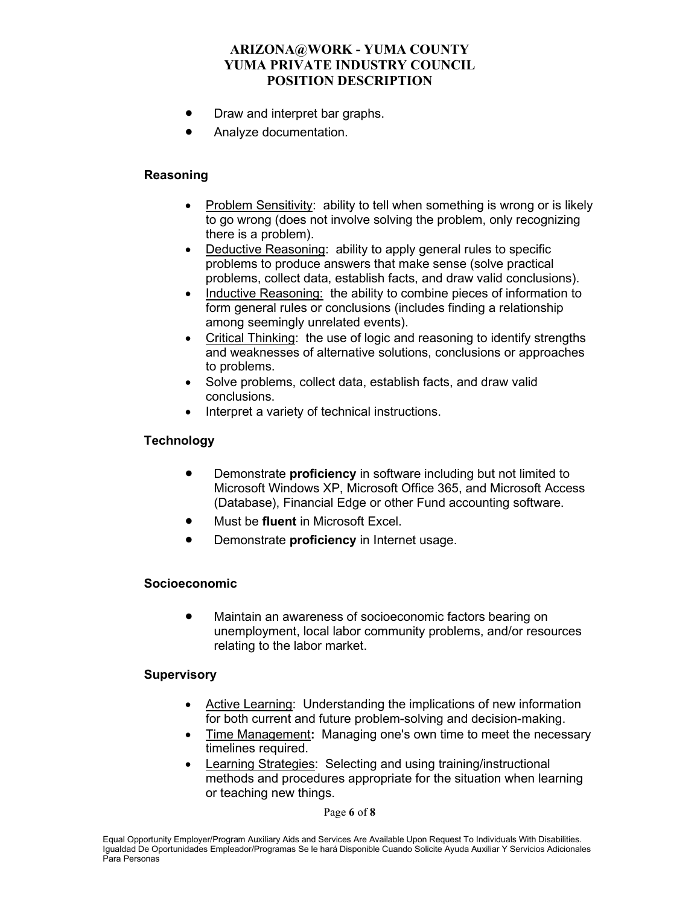- Draw and interpret bar graphs.
- Analyze documentation.

## **Reasoning**

- Problem Sensitivity: ability to tell when something is wrong or is likely to go wrong (does not involve solving the problem, only recognizing there is a problem).
- Deductive Reasoning: ability to apply general rules to specific problems to produce answers that make sense (solve practical problems, collect data, establish facts, and draw valid conclusions).
- Inductive Reasoning: the ability to combine pieces of information to form general rules or conclusions (includes finding a relationship among seemingly unrelated events).
- Critical Thinking: the use of logic and reasoning to identify strengths and weaknesses of alternative solutions, conclusions or approaches to problems.
- Solve problems, collect data, establish facts, and draw valid conclusions.
- Interpret a variety of technical instructions.

# **Technology**

- Demonstrate **proficiency** in software including but not limited to Microsoft Windows XP, Microsoft Office 365, and Microsoft Access (Database), Financial Edge or other Fund accounting software.
- Must be **fluent** in Microsoft Excel.
- Demonstrate **proficiency** in Internet usage.

## **Socioeconomic**

• Maintain an awareness of socioeconomic factors bearing on unemployment, local labor community problems, and/or resources relating to the labor market.

## **Supervisory**

- Active Learning: Understanding the implications of new information for both current and future problem-solving and decision-making.
- Time Management**:** Managing one's own time to meet the necessary timelines required.
- Learning Strategies: Selecting and using training/instructional methods and procedures appropriate for the situation when learning or teaching new things.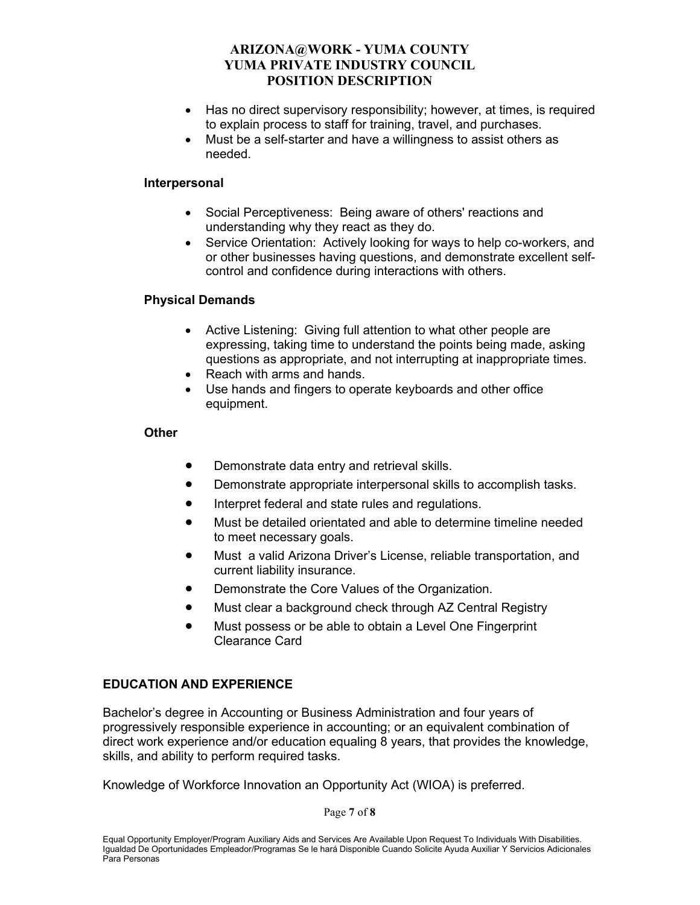- Has no direct supervisory responsibility; however, at times, is required to explain process to staff for training, travel, and purchases.
- Must be a self-starter and have a willingness to assist others as needed.

#### **Interpersonal**

- Social Perceptiveness: Being aware of others' reactions and understanding why they react as they do.
- Service Orientation: Actively looking for ways to help co-workers, and or other businesses having questions, and demonstrate excellent selfcontrol and confidence during interactions with others.

#### **Physical Demands**

- Active Listening: Giving full attention to what other people are expressing, taking time to understand the points being made, asking questions as appropriate, and not interrupting at inappropriate times.
- Reach with arms and hands.
- Use hands and fingers to operate keyboards and other office equipment.

#### **Other**

- Demonstrate data entry and retrieval skills.
- Demonstrate appropriate interpersonal skills to accomplish tasks.
- Interpret federal and state rules and regulations.
- Must be detailed orientated and able to determine timeline needed to meet necessary goals.
- Must a valid Arizona Driver's License, reliable transportation, and current liability insurance.
- Demonstrate the Core Values of the Organization.
- Must clear a background check through AZ Central Registry
- Must possess or be able to obtain a Level One Fingerprint Clearance Card

## **EDUCATION AND EXPERIENCE**

Bachelor's degree in Accounting or Business Administration and four years of progressively responsible experience in accounting; or an equivalent combination of direct work experience and/or education equaling 8 years, that provides the knowledge, skills, and ability to perform required tasks.

Knowledge of Workforce Innovation an Opportunity Act (WIOA) is preferred.

Page **7** of **8**

Equal Opportunity Employer/Program Auxiliary Aids and Services Are Available Upon Request To Individuals With Disabilities. Igualdad De Oportunidades Empleador/Programas Se le hará Disponible Cuando Solicite Ayuda Auxiliar Y Servicios Adicionales Para Personas